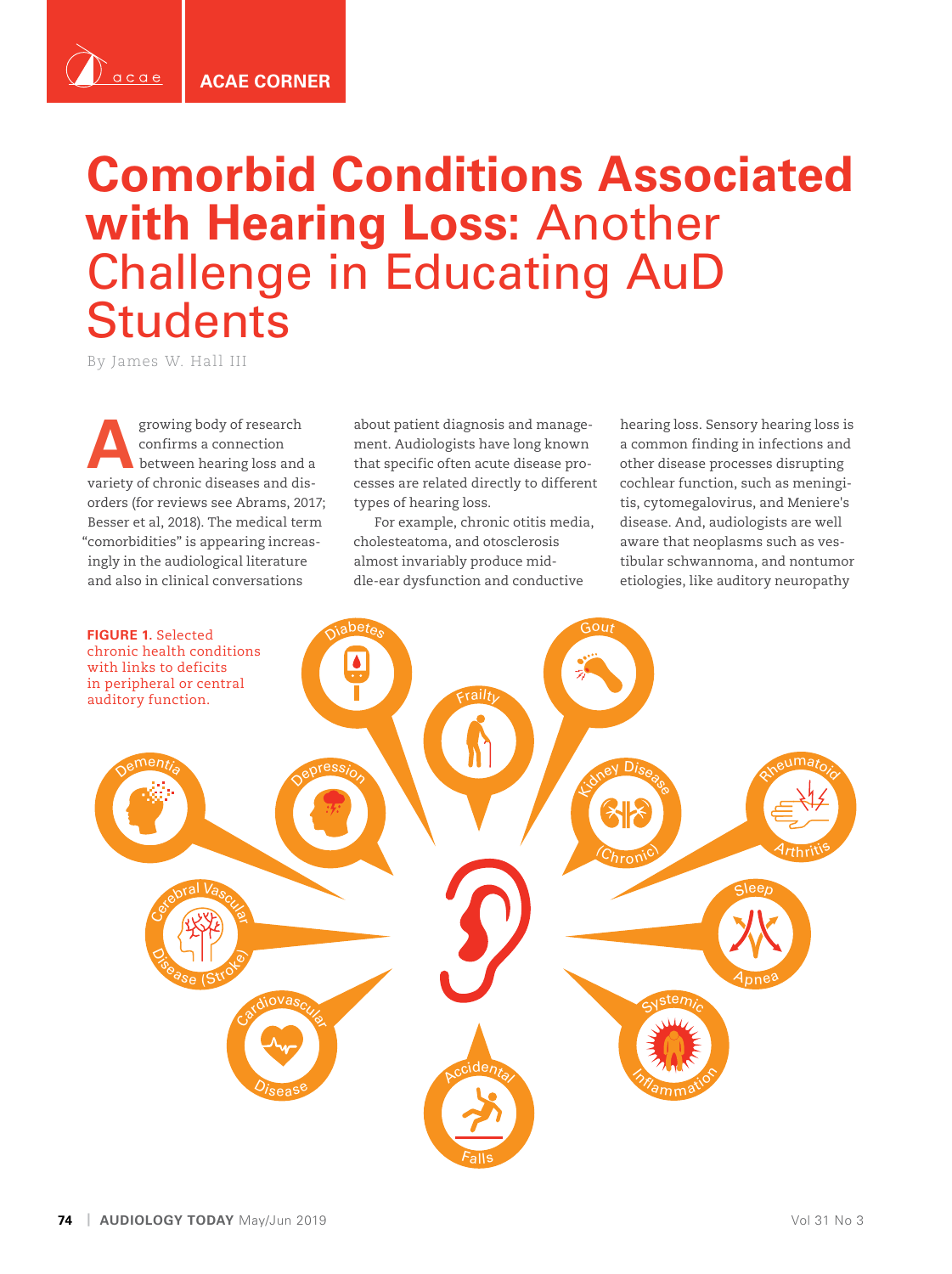**ACAE CORNER**

## **Comorbid Conditions Associated with Hearing Loss:** Another Challenge in Educating AuD **Students**

By James W. Hall III

 $acae$ 

**A**growing body of research confirms a connection between hearing loss and a variety of chronic diseases and disorders (for reviews see Abrams, 2017; Besser et al, 2018). The medical term "comorbidities" is appearing increasingly in the audiological literature and also in clinical conversations

about patient diagnosis and management. Audiologists have long known that specific often acute disease processes are related directly to different types of hearing loss.

For example, chronic otitis media, cholesteatoma, and otosclerosis almost invariably produce middle-ear dysfunction and conductive

hearing loss. Sensory hearing loss is a common finding in infections and other disease processes disrupting cochlear function, such as meningitis, cytomegalovirus, and Meniere's disease. And, audiologists are well aware that neoplasms such as vestibular schwannoma, and nontumor etiologies, like auditory neuropathy